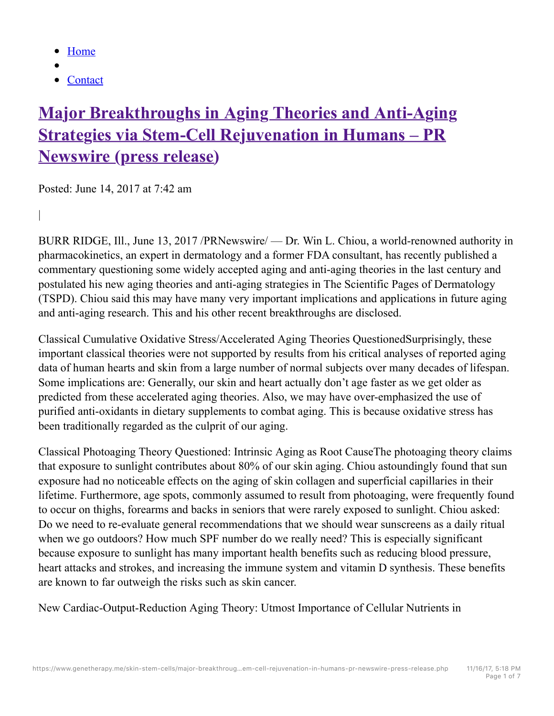- Home
- 

|

• Contact

# **Major Breakthroughs in Aging Theories and Anti-Aging Strategies via Stem-Cell Rejuvenation in Humans – PR Newswire (press release)**

Posted: June 14, 2017 at 7:42 am

BURR RIDGE, Ill., June 13, 2017 /PRNewswire/ — Dr. Win L. Chiou, a world-renowned authority in pharmacokinetics, an expert in dermatology and a former FDA consultant, has recently published a commentary questioning some widely accepted aging and anti-aging theories in the last century and postulated his new aging theories and anti-aging strategies in The Scientific Pages of Dermatology (TSPD). Chiou said this may have many very important implications and applications in future aging and anti-aging research. This and his other recent breakthroughs are disclosed.

Classical Cumulative Oxidative Stress/Accelerated Aging Theories QuestionedSurprisingly, these important classical theories were not supported by results from his critical analyses of reported aging data of human hearts and skin from a large number of normal subjects over many decades of lifespan. Some implications are: Generally, our skin and heart actually don't age faster as we get older as predicted from these accelerated aging theories. Also, we may have over-emphasized the use of purified anti-oxidants in dietary supplements to combat aging. This is because oxidative stress has been traditionally regarded as the culprit of our aging.

Classical Photoaging Theory Questioned: Intrinsic Aging as Root CauseThe photoaging theory claims that exposure to sunlight contributes about 80% of our skin aging. Chiou astoundingly found that sun exposure had no noticeable effects on the aging of skin collagen and superficial capillaries in their lifetime. Furthermore, age spots, commonly assumed to result from photoaging, were frequently found to occur on thighs, forearms and backs in seniors that were rarely exposed to sunlight. Chiou asked: Do we need to re-evaluate general recommendations that we should wear sunscreens as a daily ritual when we go outdoors? How much SPF number do we really need? This is especially significant because exposure to sunlight has many important health benefits such as reducing blood pressure, heart attacks and strokes, and increasing the immune system and vitamin D synthesis. These benefits are known to far outweigh the risks such as skin cancer.

New Cardiac-Output-Reduction Aging Theory: Utmost Importance of Cellular Nutrients in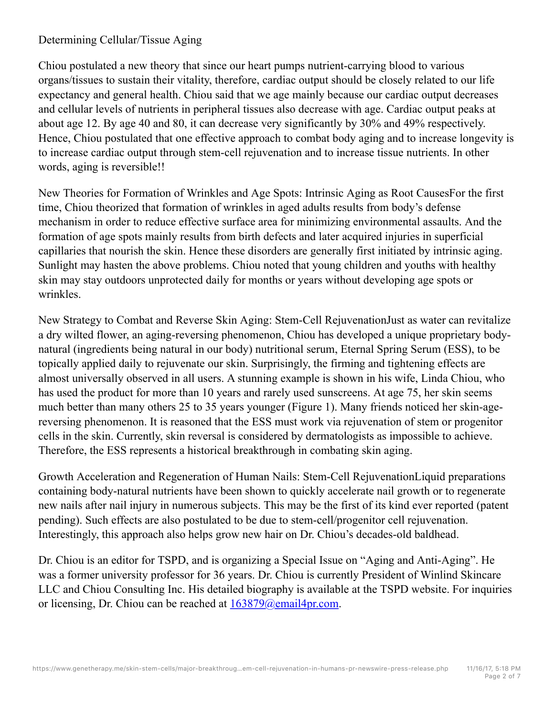#### Determining Cellular/Tissue Aging

Chiou postulated a new theory that since our heart pumps nutrient-carrying blood to various organs/tissues to sustain their vitality, therefore, cardiac output should be closely related to our life expectancy and general health. Chiou said that we age mainly because our cardiac output decreases and cellular levels of nutrients in peripheral tissues also decrease with age. Cardiac output peaks at about age 12. By age 40 and 80, it can decrease very significantly by 30% and 49% respectively. Hence, Chiou postulated that one effective approach to combat body aging and to increase longevity is to increase cardiac output through stem-cell rejuvenation and to increase tissue nutrients. In other words, aging is reversible!!

New Theories for Formation of Wrinkles and Age Spots: Intrinsic Aging as Root CausesFor the first time, Chiou theorized that formation of wrinkles in aged adults results from body's defense mechanism in order to reduce effective surface area for minimizing environmental assaults. And the formation of age spots mainly results from birth defects and later acquired injuries in superficial capillaries that nourish the skin. Hence these disorders are generally first initiated by intrinsic aging. Sunlight may hasten the above problems. Chiou noted that young children and youths with healthy skin may stay outdoors unprotected daily for months or years without developing age spots or wrinkles.

New Strategy to Combat and Reverse Skin Aging: Stem-Cell RejuvenationJust as water can revitalize a dry wilted flower, an aging-reversing phenomenon, Chiou has developed a unique proprietary bodynatural (ingredients being natural in our body) nutritional serum, Eternal Spring Serum (ESS), to be topically applied daily to rejuvenate our skin. Surprisingly, the firming and tightening effects are almost universally observed in all users. A stunning example is shown in his wife, Linda Chiou, who has used the product for more than 10 years and rarely used sunscreens. At age 75, her skin seems much better than many others 25 to 35 years younger (Figure 1). Many friends noticed her skin-agereversing phenomenon. It is reasoned that the ESS must work via rejuvenation of stem or progenitor cells in the skin. Currently, skin reversal is considered by dermatologists as impossible to achieve. Therefore, the ESS represents a historical breakthrough in combating skin aging.

Growth Acceleration and Regeneration of Human Nails: Stem-Cell RejuvenationLiquid preparations containing body-natural nutrients have been shown to quickly accelerate nail growth or to regenerate new nails after nail injury in numerous subjects. This may be the first of its kind ever reported (patent pending). Such effects are also postulated to be due to stem-cell/progenitor cell rejuvenation. Interestingly, this approach also helps grow new hair on Dr. Chiou's decades-old baldhead.

Dr. Chiou is an editor for TSPD, and is organizing a Special Issue on "Aging and Anti-Aging". He was a former university professor for 36 years. Dr. Chiou is currently President of Winlind Skincare LLC and Chiou Consulting Inc. His detailed biography is available at the TSPD website. For inquiries or licensing, Dr. Chiou can be reached at 163879@email4pr.com.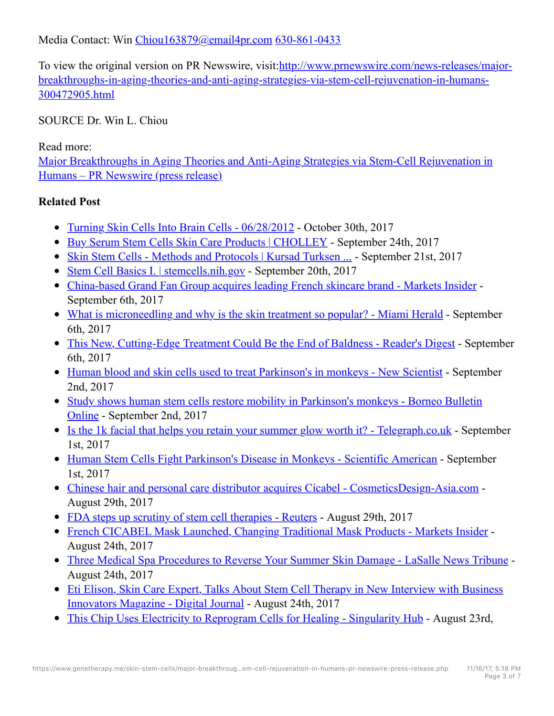#### Media Contact: Win Chiou163879@email4pr.com 630-861-0433

To view the original version on PR Newswire, visit:http://www.prnewswire.com/news-releases/majorbreakthroughs-in-aging-theories-and-anti-aging-strategies-via-stem-cell-rejuvenation-in-humans-300472905.html

# SOURCE Dr. Win L. Chiou

Read more:

Major Breakthroughs in Aging Theories and Anti-Aging Strategies via Stem-Cell Rejuvenation in Humans – PR Newswire (press release)

## **Related Post**

- Turning Skin Cells Into Brain Cells 06/28/2012 October 30th, 2017
- Buy Serum Stem Cells Skin Care Products | CHOLLEY September 24th, 2017
- Skin Stem Cells Methods and Protocols | Kursad Turksen ... September 21st, 2017
- Stem Cell Basics I. | stemcells.nih.gov September 20th, 2017
- China-based Grand Fan Group acquires leading French skincare brand Markets Insider September 6th, 2017
- What is microneedling and why is the skin treatment so popular? Miami Herald September 6th, 2017
- This New, Cutting-Edge Treatment Could Be the End of Baldness Reader's Digest September 6th, 2017
- Human blood and skin cells used to treat Parkinson's in monkeys New Scientist September 2nd, 2017
- Study shows human stem cells restore mobility in Parkinson's monkeys Borneo Bulletin Online - September 2nd, 2017
- Is the 1k facial that helps you retain your summer glow worth it? Telegraph.co.uk September 1st, 2017
- Human Stem Cells Fight Parkinson's Disease in Monkeys Scientific American September 1st, 2017
- Chinese hair and personal care distributor acquires Cicabel CosmeticsDesign-Asia.com August 29th, 2017
- FDA steps up scrutiny of stem cell therapies Reuters August 29th, 2017
- French CICABEL Mask Launched, Changing Traditional Mask Products Markets Insider August 24th, 2017
- Three Medical Spa Procedures to Reverse Your Summer Skin Damage LaSalle News Tribune August 24th, 2017
- Eti Elison, Skin Care Expert, Talks About Stem Cell Therapy in New Interview with Business Innovators Magazine - Digital Journal - August 24th, 2017
- This Chip Uses Electricity to Reprogram Cells for Healing Singularity Hub August 23rd,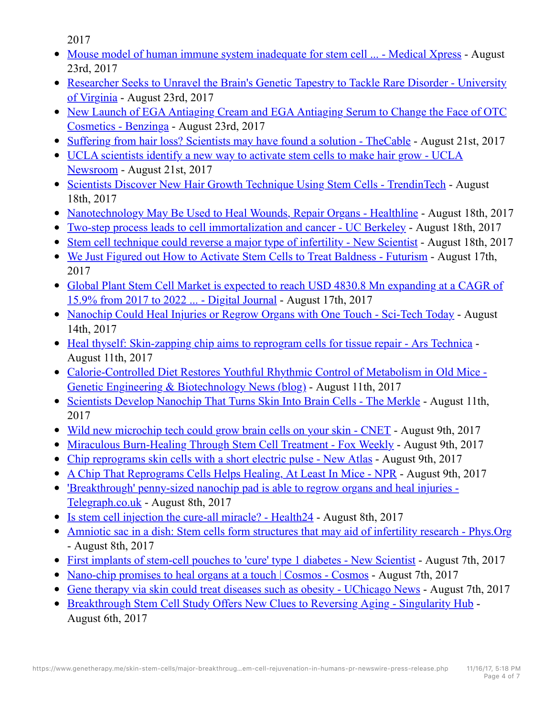2017

- Mouse model of human immune system inadequate for stem cell ... Medical Xpress August 23rd, 2017
- Researcher Seeks to Unravel the Brain's Genetic Tapestry to Tackle Rare Disorder University of Virginia - August 23rd, 2017
- New Launch of EGA Antiaging Cream and EGA Antiaging Serum to Change the Face of OTC Cosmetics - Benzinga - August 23rd, 2017
- Suffering from hair loss? Scientists may have found a solution TheCable August 21st, 2017
- UCLA scientists identify a new way to activate stem cells to make hair grow UCLA Newsroom - August 21st, 2017
- Scientists Discover New Hair Growth Technique Using Stem Cells TrendinTech August 18th, 2017
- Nanotechnology May Be Used to Heal Wounds, Repair Organs Healthline August 18th, 2017
- Two-step process leads to cell immortalization and cancer UC Berkeley August 18th, 2017  $\bullet$
- Stem cell technique could reverse a major type of infertility New Scientist August 18th, 2017
- We Just Figured out How to Activate Stem Cells to Treat Baldness Futurism August 17th, 2017
- Global Plant Stem Cell Market is expected to reach USD 4830.8 Mn expanding at a CAGR of 15.9% from 2017 to 2022 ... - Digital Journal - August 17th, 2017
- Nanochip Could Heal Injuries or Regrow Organs with One Touch Sci-Tech Today August 14th, 2017
- Heal thyself: Skin-zapping chip aims to reprogram cells for tissue repair Ars Technica -August 11th, 2017
- Calorie-Controlled Diet Restores Youthful Rhythmic Control of Metabolism in Old Mice Genetic Engineering & Biotechnology News (blog) - August 11th, 2017
- Scientists Develop Nanochip That Turns Skin Into Brain Cells The Merkle August 11th, 2017
- Wild new microchip tech could grow brain cells on your skin CNET August 9th, 2017
- Miraculous Burn-Healing Through Stem Cell Treatment Fox Weekly August 9th, 2017
- Chip reprograms skin cells with a short electric pulse New Atlas August 9th, 2017
- A Chip That Reprograms Cells Helps Healing, At Least In Mice NPR August 9th, 2017
- 'Breakthrough' penny-sized nanochip pad is able to regrow organs and heal injuries Telegraph.co.uk - August 8th, 2017
- Is stem cell injection the cure-all miracle? Health 24 August 8th, 2017
- Amniotic sac in a dish: Stem cells form structures that may aid of infertility research Phys.Org - August 8th, 2017
- First implants of stem-cell pouches to 'cure' type 1 diabetes New Scientist August 7th, 2017
- Nano-chip promises to heal organs at a touch | Cosmos Cosmos August 7th, 2017
- Gene therapy via skin could treat diseases such as obesity UChicago News August 7th, 2017
- Breakthrough Stem Cell Study Offers New Clues to Reversing Aging Singularity Hub August 6th, 2017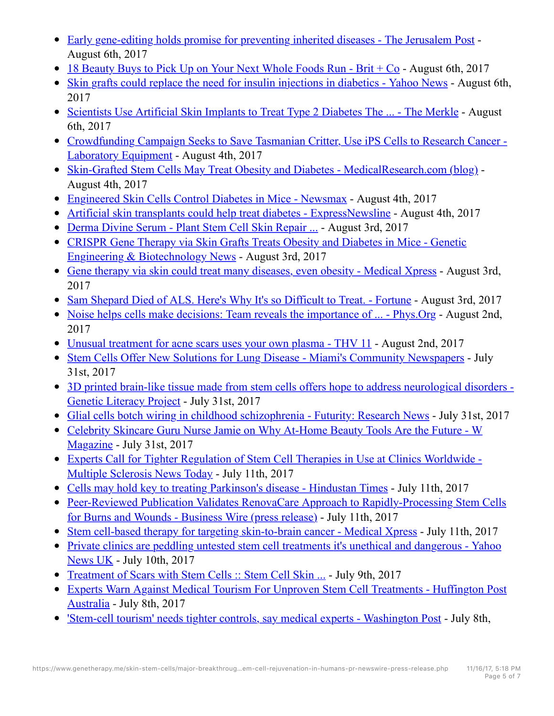- Early gene-editing holds promise for preventing inherited diseases The Jerusalem Post August 6th, 2017
- 18 Beauty Buys to Pick Up on Your Next Whole Foods Run Brit + Co August 6th, 2017
- Skin grafts could replace the need for insulin injections in diabetics Yahoo News August 6th, 2017
- Scientists Use Artificial Skin Implants to Treat Type 2 Diabetes The ... The Merkle August 6th, 2017
- Crowdfunding Campaign Seeks to Save Tasmanian Critter, Use iPS Cells to Research Cancer Laboratory Equipment - August 4th, 2017
- Skin-Grafted Stem Cells May Treat Obesity and Diabetes MedicalResearch.com (blog) August 4th, 2017
- Engineered Skin Cells Control Diabetes in Mice Newsmax August 4th, 2017
- Artificial skin transplants could help treat diabetes ExpressNewsline August 4th, 2017
- Derma Divine Serum Plant Stem Cell Skin Repair ... August 3rd, 2017
- CRISPR Gene Therapy via Skin Grafts Treats Obesity and Diabetes in Mice Genetic Engineering & Biotechnology News - August 3rd, 2017
- Gene therapy via skin could treat many diseases, even obesity Medical Xpress August 3rd, 2017
- Sam Shepard Died of ALS. Here's Why It's so Difficult to Treat. Fortune August 3rd, 2017
- Noise helps cells make decisions: Team reveals the importance of ... Phys.Org August 2nd, 2017
- Unusual treatment for acne scars uses your own plasma THV 11 August 2nd, 2017
- Stem Cells Offer New Solutions for Lung Disease Miami's Community Newspapers July 31st, 2017
- 3D printed brain-like tissue made from stem cells offers hope to address neurological disorders Genetic Literacy Project - July 31st, 2017
- Glial cells botch wiring in childhood schizophrenia Futurity: Research News July 31st, 2017
- Celebrity Skincare Guru Nurse Jamie on Why At-Home Beauty Tools Are the Future W Magazine - July 31st, 2017
- Experts Call for Tighter Regulation of Stem Cell Therapies in Use at Clinics Worldwide Multiple Sclerosis News Today - July 11th, 2017
- Cells may hold key to treating Parkinson's disease Hindustan Times July 11th, 2017
- Peer-Reviewed Publication Validates RenovaCare Approach to Rapidly-Processing Stem Cells for Burns and Wounds - Business Wire (press release) - July 11th, 2017
- Stem cell-based therapy for targeting skin-to-brain cancer Medical Xpress July 11th, 2017
- Private clinics are peddling untested stem cell treatments it's unethical and dangerous Yahoo News UK - July 10th, 2017
- Treatment of Scars with Stem Cells :: Stem Cell Skin ... July 9th, 2017
- Experts Warn Against Medical Tourism For Unproven Stem Cell Treatments Huffington Post Australia - July 8th, 2017
- 'Stem-cell tourism' needs tighter controls, say medical experts Washington Post July 8th,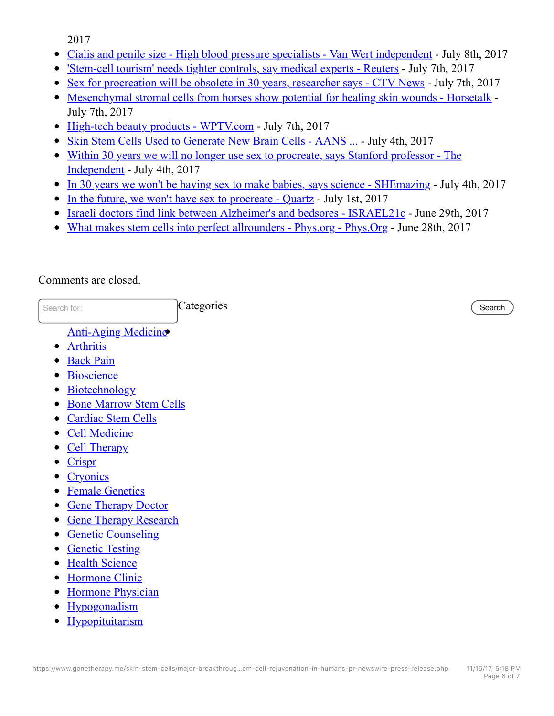2017

- Cialis and penile size High blood pressure specialists Van Wert independent July 8th, 2017
- 'Stem-cell tourism' needs tighter controls, say medical experts Reuters July 7th, 2017
- Sex for procreation will be obsolete in 30 years, researcher says CTV News July 7th, 2017
- Mesenchymal stromal cells from horses show potential for healing skin wounds Horsetalk July 7th, 2017
- High-tech beauty products WPTV.com July 7th, 2017
- Skin Stem Cells Used to Generate New Brain Cells AANS ... July 4th, 2017
- Within 30 years we will no longer use sex to procreate, says Stanford professor The Independent - July 4th, 2017
- In 30 years we won't be having sex to make babies, says science SHEmazing July 4th, 2017
- In the future, we won't have sex to procreate Quartz July 1st, 2017
- Israeli doctors find link between Alzheimer's and bedsores ISRAEL21c June 29th, 2017
- What makes stem cells into perfect allrounders Phys.org Phys.Org June 28th, 2017

## Comments are closed.

| Search for:                                | Categories | Search |
|--------------------------------------------|------------|--------|
| <b>Anti-Aging Medicine</b>                 |            |        |
| <b>Arthritis</b><br>$\bullet$              |            |        |
| <b>Back Pain</b>                           |            |        |
| <b>Bioscience</b>                          |            |        |
| <b>Biotechnology</b>                       |            |        |
| <b>Bone Marrow Stem Cells</b><br>$\bullet$ |            |        |
| <b>Cardiac Stem Cells</b><br>$\bullet$     |            |        |
| <b>Cell Medicine</b>                       |            |        |
| <b>Cell Therapy</b>                        |            |        |
| $\sim$ $\sim$                              |            |        |

- Crispr
- Cryonics
- Female Genetics
- Gene Therapy Doctor
- Gene Therapy Research
- Genetic Counseling
- Genetic Testing
- Health Science
- Hormone Clinic
- Hormone Physician
- Hypogonadism
- Hypopituitarism